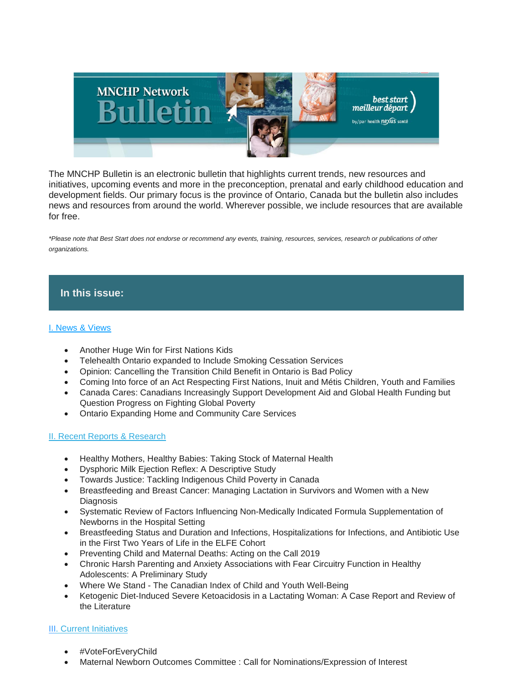

The MNCHP Bulletin is an electronic bulletin that highlights current trends, new resources and initiatives, upcoming events and more in the preconception, prenatal and early childhood education and development fields. Our primary focus is the province of Ontario, Canada but the bulletin also includes news and resources from around the world. Wherever possible, we include resources that are available for free.

*\*Please note that Best Start does not endorse or recommend any events, training, resources, services, research or publications of other organizations.*

## **In this issue:**

### [I. News & Views](https://us14.admin.mailchimp.com/templates/preview-template?id=185453#I.%20News%20&%20Views)

- Another Huge Win for First Nations Kids
- Telehealth Ontario expanded to Include Smoking Cessation Services
- Opinion: Cancelling the Transition Child Benefit in Ontario is Bad Policy
- Coming Into force of an Act Respecting First Nations, Inuit and Métis Children, Youth and Families
- Canada Cares: Canadians Increasingly Support Development Aid and Global Health Funding but Question Progress on Fighting Global Poverty
- Ontario Expanding Home and Community Care Services

### [II. Recent Reports & Research](https://us14.admin.mailchimp.com/templates/preview-template?id=185453#II.%20Recent%20Reports%20&%20Research%20-%20Maternal%20&%20Child%20Health)

- Healthy Mothers, Healthy Babies: Taking Stock of Maternal Health
- Dysphoric Milk Ejection Reflex: A Descriptive Study
- Towards Justice: Tackling Indigenous Child Poverty in Canada
- Breastfeeding and Breast Cancer: Managing Lactation in Survivors and Women with a New **Diagnosis**
- Systematic Review of Factors Influencing Non-Medically Indicated Formula Supplementation of Newborns in the Hospital Setting
- Breastfeeding Status and Duration and Infections, Hospitalizations for Infections, and Antibiotic Use in the First Two Years of Life in the ELFE Cohort
- Preventing Child and Maternal Deaths: Acting on the Call 2019
- Chronic Harsh Parenting and Anxiety Associations with Fear Circuitry Function in Healthy Adolescents: A Preliminary Study
- Where We Stand The Canadian Index of Child and Youth Well-Being
- Ketogenic Diet-Induced Severe Ketoacidosis in a Lactating Woman: A Case Report and Review of the Literature

### II[I. Current Initiatives](https://us14.admin.mailchimp.com/templates/preview-template?id=185453#V.%20Current%20Initiatives)

- #VoteForEveryChild
- Maternal Newborn Outcomes Committee : Call for Nominations/Expression of Interest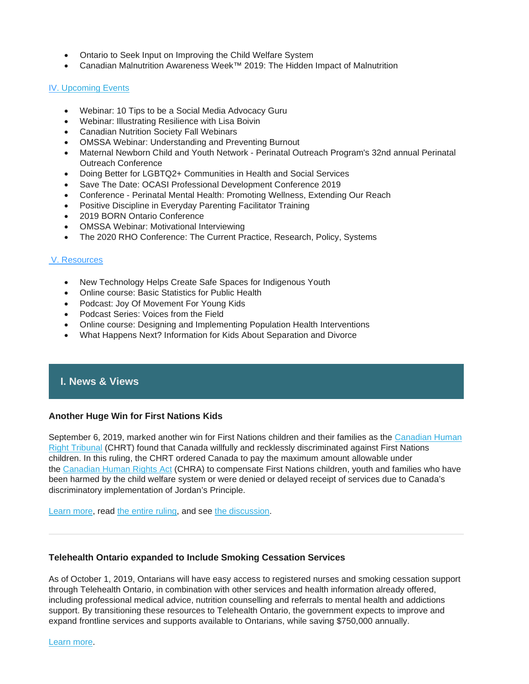- Ontario to Seek Input on Improving the Child Welfare System
- Canadian Malnutrition Awareness Week™ 2019: The Hidden Impact of Malnutrition

### I[V. Upcoming Events](https://us14.admin.mailchimp.com/templates/preview-template?id=185453#VI.%20Upcoming%20Events)

- Webinar: 10 Tips to be a Social Media Advocacy Guru
- Webinar: Illustrating Resilience with Lisa Boivin
- Canadian Nutrition Society Fall Webinars
- OMSSA Webinar: Understanding and Preventing Burnout
- Maternal Newborn Child and Youth Network Perinatal Outreach Program's 32nd annual Perinatal Outreach Conference
- Doing Better for LGBTQ2+ Communities in Health and Social Services
- Save The Date: OCASI Professional Development Conference 2019
- Conference Perinatal Mental Health: Promoting Wellness, Extending Our Reach
- Positive Discipline in Everyday Parenting Facilitator Training
- 2019 BORN Ontario Conference
- OMSSA Webinar: Motivational Interviewing
- The 2020 RHO Conference: The Current Practice, Research, Policy, Systems

### [V. Resources](https://us14.admin.mailchimp.com/templates/preview-template?id=185453#VII.%20Resources)

- New Technology Helps Create Safe Spaces for Indigenous Youth
- Online course: Basic Statistics for Public Health
- Podcast: Joy Of Movement For Young Kids
- Podcast Series: Voices from the Field
- Online course: Designing and Implementing Population Health Interventions
- What Happens Next? Information for Kids About Separation and Divorce

## **I. News & Views**

### **Another Huge Win for First Nations Kids**

September 6, 2019, marked another win for First Nations children and their families as the Canadian Human [Right Tribunal](https://www.chrt-tcdp.gc.ca/index-en.html) (CHRT) found that Canada willfully and recklessly discriminated against First Nations children. In this ruling, the CHRT ordered Canada to pay the maximum amount allowable under the [Canadian Human Rights Act](https://laws-lois.justice.gc.ca/eng/acts/h-6/) (CHRA) to compensate First Nations children, youth and families who have been harmed by the child welfare system or were denied or delayed receipt of services due to Canada's discriminatory implementation of Jordan's Principle.

[Learn more,](https://fncaringsociety.us11.list-manage.com/track/click?u=9cb832e23ec6a505b2e249fd2&id=66ab290492&e=295cf89dd0) read [the entire ruling,](https://fncaringsociety.us11.list-manage.com/track/click?u=9cb832e23ec6a505b2e249fd2&id=4afb5d712d&e=295cf89dd0) and see [the discussion.](https://www.newswire.ca/news-releases/tribunal-finds-canada-wilfully-and-recklessly-discriminated-against-first-nations-children-833538454.html)

### **Telehealth Ontario expanded to Include Smoking Cessation Services**

As of October 1, 2019, Ontarians will have easy access to registered nurses and smoking cessation support through Telehealth Ontario, in combination with other services and health information already offered, including professional medical advice, nutrition counselling and referrals to mental health and addictions support. By transitioning these resources to Telehealth Ontario, the government expects to improve and expand frontline services and supports available to Ontarians, while saving \$750,000 annually.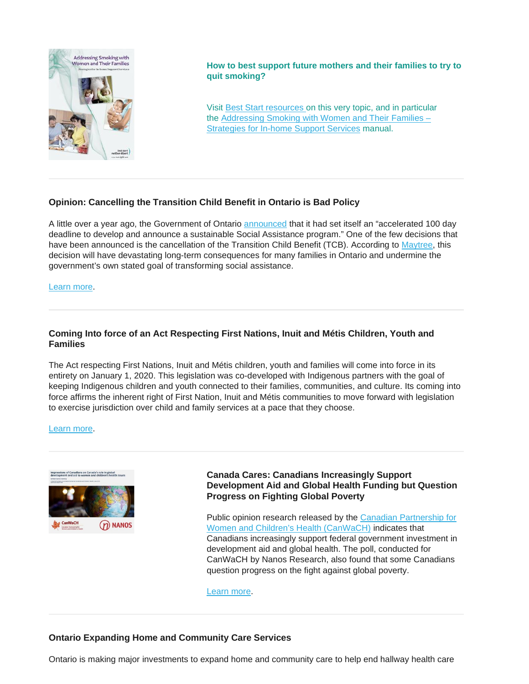

**How to best support future mothers and their families to try to quit smoking?**

Visit [Best Start resources](https://resources.beststart.org/product-category/resources/tobacco-misuse/) on this very topic, and in particular the [Addressing Smoking with Women and Their Families –](https://resources.beststart.org/product/n12e-addressing-smoking-with-women-and-their-families-manual/) [Strategies for In-home Support Services](https://resources.beststart.org/product/n12e-addressing-smoking-with-women-and-their-families-manual/) manual.

### **Opinion: Cancelling the Transition Child Benefit in Ontario is Bad Policy**

A little over a year ago, the Government of Ontario [announced](https://news.ontario.ca/mcys/en/2018/07/ontarios-government-for-the-people-to-reform-social-assistance-to-help-more-people-get-back-on-track.html) that it had set itself an "accelerated 100 day deadline to develop and announce a sustainable Social Assistance program." One of the few decisions that have been announced is the cancellation of the Transition Child Benefit (TCB). According to [Maytree,](https://maytree.com/) this decision will have devastating long-term consequences for many families in Ontario and undermine the government's own stated goal of transforming social assistance.

### [Learn more.](https://maytree.com/publications/cancelling-the-transition-child-benefit-in-ontario-is-bad-policy/?mc_cid=17c0c59194&mc_eid=703de40a05)

### **Coming Into force of an Act Respecting First Nations, Inuit and Métis Children, Youth and Families**

The Act respecting First Nations, Inuit and Métis children, youth and families will come into force in its entirety on January 1, 2020. This legislation was co-developed with Indigenous partners with the goal of keeping Indigenous children and youth connected to their families, communities, and culture. Its coming into force affirms the inherent right of First Nation, Inuit and Métis communities to move forward with legislation to exercise jurisdiction over child and family services at a pace that they choose.

[Learn more.](https://www.newswire.ca/news-releases/the-government-of-canada-announces-the-coming-into-force-of-an-act-respecting-first-nations-inuit-and-metis-children-youth-and-families-810646408.html)



### **Canada Cares: Canadians Increasingly Support Development Aid and Global Health Funding but Question Progress on Fighting Global Poverty**

Public opinion research released by the [Canadian Partnership for](https://www.canwach.ca/)  [Women and Children's Health \(CanWaCH\)](https://www.canwach.ca/) indicates that Canadians increasingly support federal government investment in development aid and global health. The poll, conducted for CanWaCH by Nanos Research, also found that some Canadians question progress on the fight against global poverty.

[Learn more.](https://www.canwach.ca/sites/default/files/2019-08/2019-1434%20CanWaCH_Nanos_2019%20Public%20Opinion%20Research_FINAL_EN_0.pdf?utm_source=CanWaCH+Newsletter&utm_campaign=d94de745b4-EMAIL_CAMPAIGN_2019_08_20_05_32_COPY_01&utm_medium=email&utm_term=0_74dcd35340-d94de745b4-307431313)

### **Ontario Expanding Home and Community Care Services**

Ontario is making major investments to expand home and community care to help end hallway health care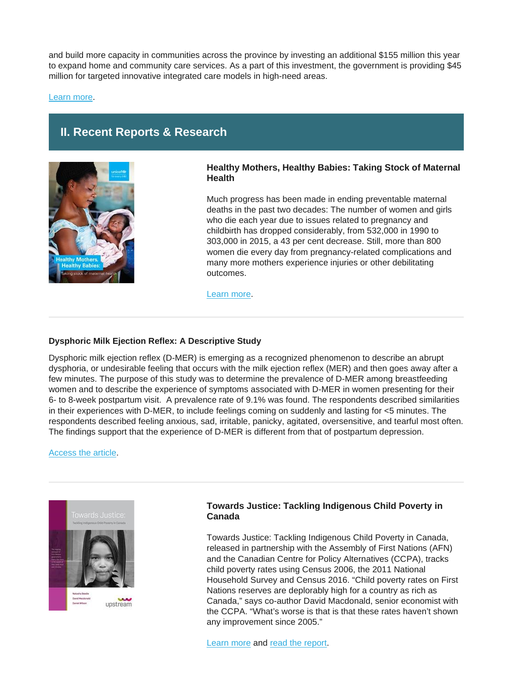and build more capacity in communities across the province by investing an additional \$155 million this year to expand home and community care services. As a part of this investment, the government is providing \$45 million for targeted innovative integrated care models in high-need areas.

[Learn more.](http://news.ontario.ca/mohltc/en/2019/09/ontario-expanding-home-and-community-care-services.html?utm_source=ondemand&utm_medium=email&utm_campaign=p)

# **II. Recent Reports & Research**



### **Healthy Mothers, Healthy Babies: Taking Stock of Maternal Health**

Much progress has been made in ending preventable maternal deaths in the past two decades: The number of women and girls who die each year due to issues related to pregnancy and childbirth has dropped considerably, from 532,000 in 1990 to 303,000 in 2015, a 43 per cent decrease. Still, more than 800 women die every day from pregnancy-related complications and many more mothers experience injuries or other debilitating outcomes.

[Learn more.](https://data.unicef.org/resources/healthy-mothers-healthy-babies/)

### **Dysphoric Milk Ejection Reflex: A Descriptive Study**

Dysphoric milk ejection reflex (D-MER) is emerging as a recognized phenomenon to describe an abrupt dysphoria, or undesirable feeling that occurs with the milk ejection reflex (MER) and then goes away after a few minutes. The purpose of this study was to determine the prevalence of D-MER among breastfeeding women and to describe the experience of symptoms associated with D-MER in women presenting for their 6- to 8-week postpartum visit. A prevalence rate of 9.1% was found. The respondents described similarities in their experiences with D-MER, to include feelings coming on suddenly and lasting for <5 minutes. The respondents described feeling anxious, sad, irritable, panicky, agitated, oversensitive, and tearful most often. The findings support that the experience of D-MER is different from that of postpartum depression.

### [Access the article.](https://www.liebertpub.com/doi/10.1089/bfm.2019.0091)



### **Towards Justice: Tackling Indigenous Child Poverty in Canada**

Towards Justice: Tackling Indigenous Child Poverty in Canada, released in partnership with the Assembly of First Nations (AFN) and the Canadian Centre for Policy Alternatives (CCPA), tracks child poverty rates using Census 2006, the 2011 National Household Survey and Census 2016. "Child poverty rates on First Nations reserves are deplorably high for a country as rich as Canada," says co-author David Macdonald, senior economist with the CCPA. "What's worse is that is that these rates haven't shown any improvement since 2005."

[Learn more](https://www.thinkupstream.net/first_nations_child_poverty_rates) and [read the report.](https://d3n8a8pro7vhmx.cloudfront.net/upstream/pages/684/attachments/original/1562604201/Upstream_report_final_English_June_24_2019.pdf?1562604201)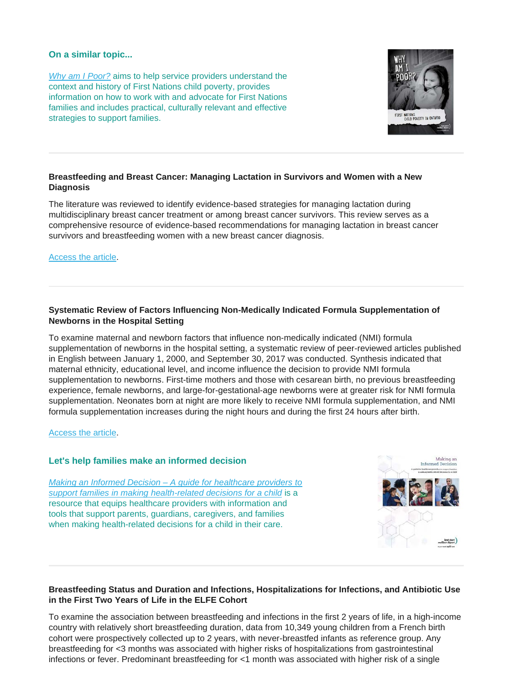### **On a similar topic...**

*[Why am I Poor?](https://resources.beststart.org/product/g04a-why-am-i-poor-report/)* aims to help service providers understand the context and history of First Nations child poverty, provides information on how to work with and advocate for First Nations families and includes practical, culturally relevant and effective strategies to support families.



### **Breastfeeding and Breast Cancer: Managing Lactation in Survivors and Women with a New Diagnosis**

The literature was reviewed to identify evidence-based strategies for managing lactation during multidisciplinary breast cancer treatment or among breast cancer survivors. This review serves as a comprehensive resource of evidence-based recommendations for managing lactation in breast cancer survivors and breastfeeding women with a new breast cancer diagnosis.

[Access the article.](https://www.ncbi.nlm.nih.gov/pubmed/31342385)

### **Systematic Review of Factors Influencing Non-Medically Indicated Formula Supplementation of Newborns in the Hospital Setting**

To examine maternal and newborn factors that influence non-medically indicated (NMI) formula supplementation of newborns in the hospital setting, a systematic review of peer-reviewed articles published in English between January 1, 2000, and September 30, 2017 was conducted. Synthesis indicated that maternal ethnicity, educational level, and income influence the decision to provide NMI formula supplementation to newborns. First-time mothers and those with cesarean birth, no previous breastfeeding experience, female newborns, and large-for-gestational-age newborns were at greater risk for NMI formula supplementation. Neonates born at night are more likely to receive NMI formula supplementation, and NMI formula supplementation increases during the night hours and during the first 24 hours after birth.

[Access the article.](https://www.ncbi.nlm.nih.gov/pubmed/31400848)

### **Let's help families make an informed decision**

*Making an Informed Decision – [A guide for healthcare providers to](https://resources.beststart.org/product/j40e-making-an-informed-decision-booklet/)  [support families in making health-related decisions for a child](https://resources.beststart.org/product/j40e-making-an-informed-decision-booklet/)* is a resource that equips healthcare providers with information and tools that support parents, guardians, caregivers, and families when making health-related decisions for a child in their care.



### **Breastfeeding Status and Duration and Infections, Hospitalizations for Infections, and Antibiotic Use in the First Two Years of Life in the ELFE Cohort**

To examine the association between breastfeeding and infections in the first 2 years of life, in a high-income country with relatively short breastfeeding duration, data from 10,349 young children from a French birth cohort were prospectively collected up to 2 years, with never-breastfed infants as reference group. Any breastfeeding for <3 months was associated with higher risks of hospitalizations from gastrointestinal infections or fever. Predominant breastfeeding for <1 month was associated with higher risk of a single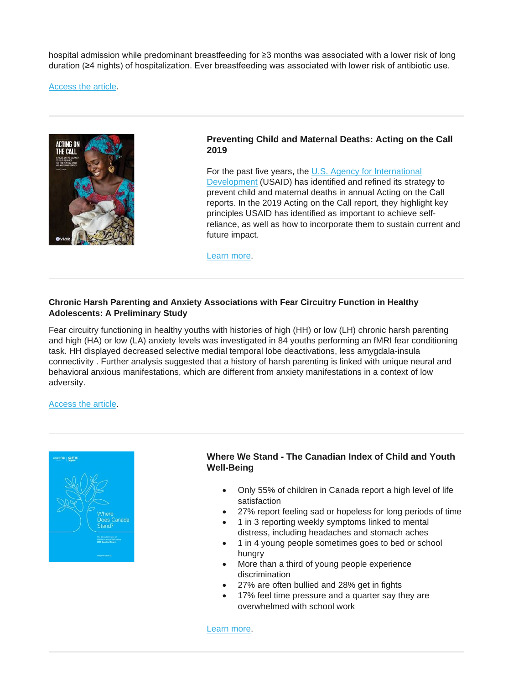hospital admission while predominant breastfeeding for ≥3 months was associated with a lower risk of long duration (≥4 nights) of hospitalization. Ever breastfeeding was associated with lower risk of antibiotic use.

[Access the article.](http://url3448.lacted.org/wf/click?upn=bmPKuQwvx4hcxZOjA2RXh0DsjnmkIDk0sJAS0bz9ruV1ZgSRwgBM2FXF934l1hO6zYMNxfBnVaBEX4V5YMTsYXfqHBKZispyYHpNaYpiTC5W0w9yFWtrQnMqCYz4WkKamGgPWwP0UTi9EGDjNWWYY4bhujzq3-2Bar-2BHKHGQ9wwyKOkmDU-2B7pOcy9-2F7-2BC9J6xPqlv8euDrj7g3iVWwYqBAurkyrf93JB4SZ91q1iXqfEg-3D_2GKfudiLRpA1ODuqhsxr3UQ6phwNDtq5u2Ut1EVTExJQiv1reIa7jQ-2FhgrZrftDaM8K2qYrAghFhpvlwQZD-2FvW5UuguVJPI6tJXfzdAemJrs-2BVaSnBQbF2mLq1-2FwVHpKTjjNrIUkOy1qSIkG8I3I3H6nw4EX1772Jl8pSH81sA0xVcyn7Is-2FTKBZwl429Z-2FphSN4gfh5NHK9mqr3j2Od4Hv80wK7LwBlcaPAb6TFtZ5UZfgzx4M2YLHjfeNZXZlp)



### **Preventing Child and Maternal Deaths: Acting on the Call 2019**

For the past five years, the U.S. Agency for International [Development](https://www.usaid.gov/) (USAID) has identified and refined its strategy to prevent child and maternal deaths in annual Acting on the Call reports. In the 2019 Acting on the Call report, they highlight key principles USAID has identified as important to achieve selfreliance, as well as how to incorporate them to sustain current and future impact.

[Learn more.](https://www.usaid.gov/actingonthecall/2019-report)

### **Chronic Harsh Parenting and Anxiety Associations with Fear Circuitry Function in Healthy Adolescents: A Preliminary Study**

Fear circuitry functioning in healthy youths with histories of high (HH) or low (LH) chronic harsh parenting and high (HA) or low (LA) anxiety levels was investigated in 84 youths performing an fMRI fear conditioning task. HH displayed decreased selective medial temporal lobe deactivations, less amygdala-insula connectivity . Further analysis suggested that a history of harsh parenting is linked with unique neural and behavioral anxious manifestations, which are different from anxiety manifestations in a context of low adversity.

### [Access the article.](https://www.sciencedirect.com/science/article/pii/S0301051118301248)



### **Where We Stand - The Canadian Index of Child and Youth Well-Being**

- Only 55% of children in Canada report a high level of life satisfaction
- 27% report feeling sad or hopeless for long periods of time
- 1 in 3 reporting weekly symptoms linked to mental distress, including headaches and stomach aches
- 1 in 4 young people sometimes goes to bed or school hungry
- More than a third of young people experience discrimination
- 27% are often bullied and 28% get in fights
- 17% feel time pressure and a quarter say they are overwhelmed with school work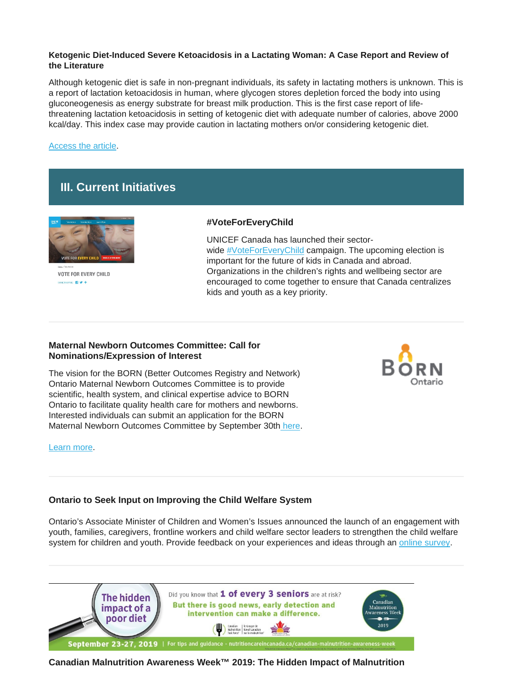### **Ketogenic Diet-Induced Severe Ketoacidosis in a Lactating Woman: A Case Report and Review of the Literature**

Although ketogenic diet is safe in non-pregnant individuals, its safety in lactating mothers is unknown. This is a report of lactation ketoacidosis in human, where glycogen stores depletion forced the body into using gluconeogenesis as energy substrate for breast milk production. This is the first case report of lifethreatening lactation ketoacidosis in setting of ketogenic diet with adequate number of calories, above 2000 kcal/day. This index case may provide caution in lactating mothers on/or considering ketogenic diet.

### [Access the article.](https://academic.oup.com/cdn/article/3/Supplement_1/nzz035.FS17-01-19/5518307)

# **III. Current Initiatives**



**VOTE FOR EVERY CHILD ACTISRAGE EE V +** 

### **#VoteForEveryChild**

UNICEF Canada has launched their sector-wide [#VoteForEveryChild](https://canwach.us7.list-manage.com/track/click?u=64c0876f65607838270358b0f&id=bc02b1efd4&e=fe912b583f) campaign. The upcoming election is important for the future of kids in Canada and abroad. Organizations in the children's rights and wellbeing sector are encouraged to come together to ensure that Canada centralizes kids and youth as a key priority.

### **Maternal Newborn Outcomes Committee: Call for Nominations/Expression of Interest**

The vision for the BORN (Better Outcomes Registry and Network) Ontario Maternal Newborn Outcomes Committee is to provide scientific, health system, and clinical expertise advice to BORN Ontario to facilitate quality health care for mothers and newborns. Interested individuals can submit an application for the BORN Maternal Newborn Outcomes Committee by September 30th [here.](https://bit.ly/2kcFKiY)

# )ntario

### [Learn more.](https://www.bornontario.ca/en/news/maternal-newborn-outcomes-committee.aspx)

### **Ontario to Seek Input on Improving the Child Welfare System**

Ontario's Associate Minister of Children and Women's Issues announced the launch of an engagement with youth, families, caregivers, frontline workers and child welfare sector leaders to strengthen the child welfare system for children and youth. Provide feedback on your experiences and ideas through an [online survey.](http://www.children.gov.on.ca/htdocs/English/professionals/childwelfare/engagement.aspx)



**Canadian Malnutrition Awareness Week™ 2019: The Hidden Impact of Malnutrition**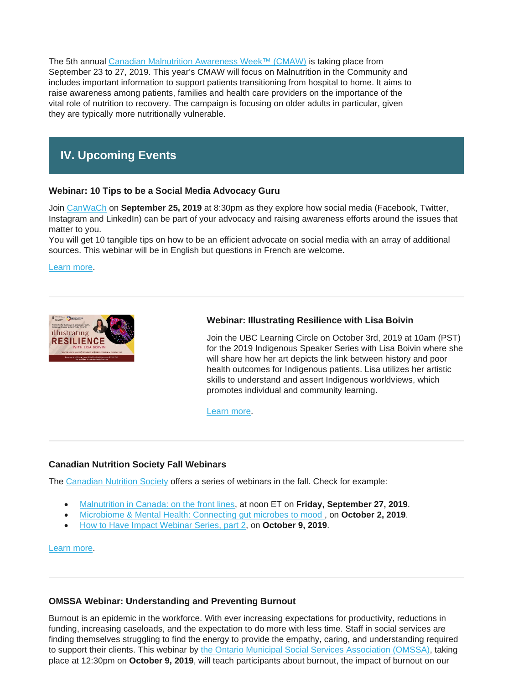The 5th annual [Canadian Malnutrition Awareness Week™ \(CMAW\)](https://cns-scn.us7.list-manage.com/track/click?u=8cd2c309ad23618d521742c2e&id=bfcca168e7&e=03c96af2ff) is taking place from September 23 to 27, 2019. This year's CMAW will focus on Malnutrition in the Community and includes important information to support patients transitioning from hospital to home. It aims to raise awareness among patients, families and health care providers on the importance of the vital role of nutrition to recovery. The campaign is focusing on older adults in particular, given they are typically more nutritionally vulnerable.

# **IV. Upcoming Events**

### **Webinar: 10 Tips to be a Social Media Advocacy Guru**

Join [CanWaCh](https://www.canwach.ca/about-canwach) on **September 25, 2019** at 8:30pm as they explore how social media (Facebook, Twitter, Instagram and LinkedIn) can be part of your advocacy and raising awareness efforts around the issues that matter to you.

You will get 10 tangible tips on how to be an efficient advocate on social media with an array of additional sources. This webinar will be in English but questions in French are welcome.

[Learn more.](https://www.canwach.ca/event/10-tips-be-social-media-advocacy-guru?utm_source=CanWaCH+Newsletter&utm_campaign=a6ca9d3373-EMAIL_CAMPAIGN_2018_09_13_03_01_COPY_01&utm_medium=email&utm_term=0_74dcd35340-a6ca9d3373-307431313)



### **Webinar: Illustrating Resilience with Lisa Boivin**

Join the UBC Learning Circle on October 3rd, 2019 at 10am (PST) for the 2019 Indigenous Speaker Series with Lisa Boivin where she will share how her art depicts the link between history and poor health outcomes for Indigenous patients. Lisa utilizes her artistic skills to understand and assert Indigenous worldviews, which promotes individual and community learning.

[Learn more.](https://firstnationshealthauthority.cmail20.com/t/i-l-phlliut-wkutyxld-yk/)

### **Canadian Nutrition Society Fall Webinars**

The [Canadian Nutrition Society](https://www.cns-scn.ca/) offers a series of webinars in the fall. Check for example:

- [Malnutrition in Canada: on the front lines,](https://www.cns-scn.ca/events/2019/09/27/malnutrition-in-canada-on-the-front-lines) at noon ET on **Friday, September 27, 2019**.
- [Microbiome & Mental Health: Connecting gut microbes to mood](https://cns-scn.us7.list-manage.com/track/click?u=8cd2c309ad23618d521742c2e&id=82ba84a701&e=03c96af2ff) , on **October 2, 2019**.
- [How to Have Impact Webinar Series, part 2,](https://cns-scn.us7.list-manage.com/track/click?u=8cd2c309ad23618d521742c2e&id=6d507014a2&e=03c96af2ff) on **October 9, 2019**.

### [Learn more.](https://www.cns-scn.ca/events-activities/upcoming-events?event_category=2)

### **OMSSA Webinar: Understanding and Preventing Burnout**

Burnout is an epidemic in the workforce. With ever increasing expectations for productivity, reductions in funding, increasing caseloads, and the expectation to do more with less time. Staff in social services are finding themselves struggling to find the energy to provide the empathy, caring, and understanding required to support their clients. This webinar by [the Ontario Municipal Social Services Association \(OMSSA\),](https://www.omssa.com/) taking place at 12:30pm on **October 9, 2019**, will teach participants about burnout, the impact of burnout on our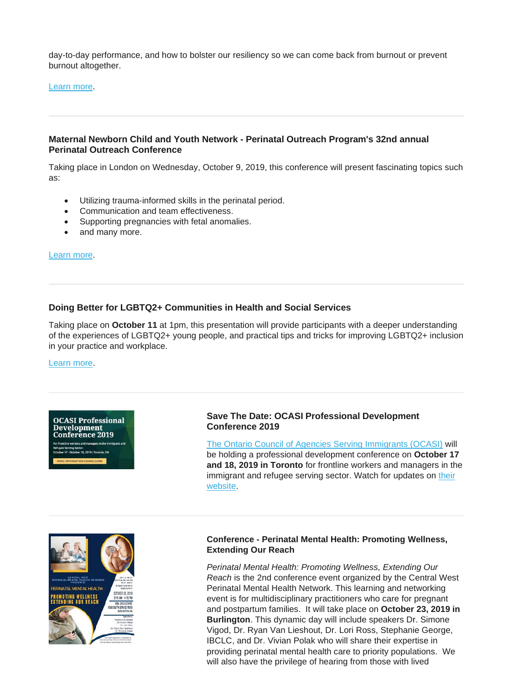day-to-day performance, and how to bolster our resiliency so we can come back from burnout or prevent burnout altogether.

### [Learn more.](https://omssa.com/webinar-preventing-burnout.php)

### **Maternal Newborn Child and Youth Network - Perinatal Outreach Program's 32nd annual Perinatal Outreach Conference**

Taking place in London on Wednesday, October 9, 2019, this conference will present fascinating topics such as:

- Utilizing trauma-informed skills in the perinatal period.
- Communication and team effectiveness.
- Supporting pregnancies with fetal anomalies.
- and many more.

[Learn more.](https://quorum.hqontario.ca/Portals/0/Users/178/14/14514/2019%20Perinatal%20Conference%20Topics%20flyer.pdf?ver=2019-09-11-120000-907)

### **Doing Better for LGBTQ2+ Communities in Health and Social Services**

Taking place on **October 11** at 1pm, this presentation will provide participants with a deeper understanding of the experiences of LGBTQ2+ young people, and practical tips and tricks for improving LGBTQ2+ inclusion in your practice and workplace.

[Learn more.](http://bit.ly/2UepPho)

**OCASI Professional** Development **Conference 2019** 

### **Save The Date: OCASI Professional Development Conference 2019**

[The Ontario Council of Agencies Serving Immigrants \(OCASI\)](https://ocasi.org/) will be holding a professional development conference on **October 17 and 18, 2019 in Toronto** for frontline workers and managers in the immigrant and refugee serving sector. Watch for updates on their [website.](https://ocasi.org/)



### **Conference - Perinatal Mental Health: Promoting Wellness, Extending Our Reach**

*Perinatal Mental Health: Promoting Wellness, Extending Our Reach* is the 2nd conference event organized by the Central West Perinatal Mental Health Network. This learning and networking event is for multidisciplinary practitioners who care for pregnant and postpartum families. It will take place on **October 23, 2019 in Burlington**. This dynamic day will include speakers Dr. Simone Vigod, Dr. Ryan Van Lieshout, Dr. Lori Ross, Stephanie George, IBCLC, and Dr. Vivian Polak who will share their expertise in providing perinatal mental health care to priority populations. We will also have the privilege of hearing from those with lived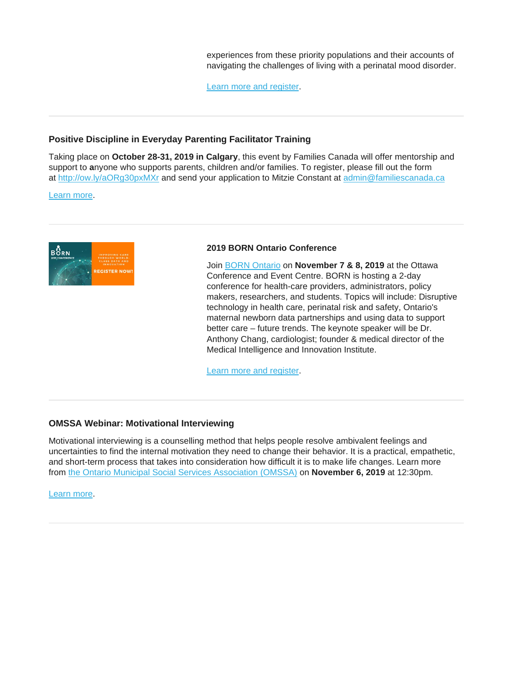experiences from these priority populations and their accounts of navigating the challenges of living with a perinatal mood disorder.

[Learn more and register.](https://www.eventbrite.ca/e/perinatal-mental-health-promoting-wellness-extending-our-reach-tickets-59076721063?aff=aff0eventful)

### **Positive Discipline in Everyday Parenting Facilitator Training**

Taking place on **October 28-31, 2019 in Calgary**, this event by Families Canada will offer mentorship and support to **a**nyone who supports parents, children and/or families. To register, please fill out the form at <http://ow.ly/aORg30pxMXr> and send your application to Mitzie Constant at [admin@familiescanada.ca](mailto:admin@familiescanada.ca) 

[Learn more.](http://ow.ly/aORg30pxMXr)



### **2019 BORN Ontario Conference**

Join [BORN Ontario](https://www.bornontario.ca/) on **November 7 & 8, 2019** at the Ottawa Conference and Event Centre. BORN is hosting a 2-day conference for health-care providers, administrators, policy makers, researchers, and students. Topics will include: Disruptive technology in health care, perinatal risk and safety, Ontario's maternal newborn data partnerships and using data to support better care – future trends. The keynote speaker will be Dr. Anthony Chang, cardiologist; founder & medical director of the Medical Intelligence and Innovation Institute.

[Learn more and register.](https://www.bornontario.ca/en/whats-happening/2019-conference.aspx)

### **OMSSA Webinar: Motivational Interviewing**

Motivational interviewing is a counselling method that helps people resolve ambivalent feelings and uncertainties to find the internal motivation they need to change their behavior. It is a practical, empathetic, and short-term process that takes into consideration how difficult it is to make life changes. Learn more from [the Ontario Municipal Social Services Association \(OMSSA\)](https://www.omssa.com/) on **November 6, 2019** at 12:30pm.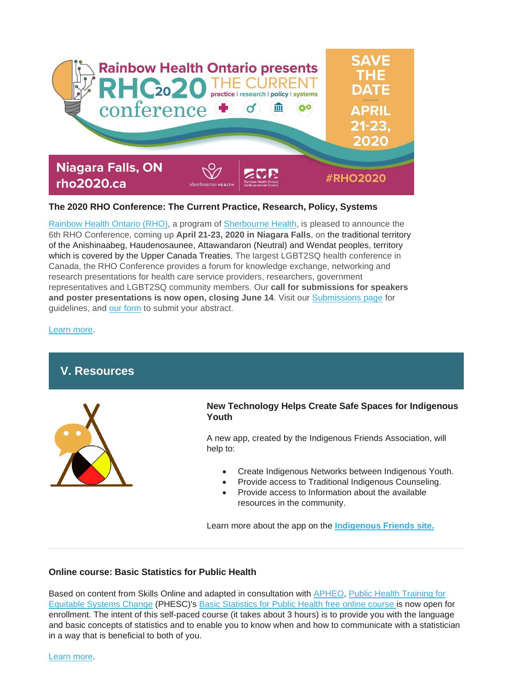

### **The 2020 RHO Conference: The Current Practice, Research, Policy, Systems**

[Rainbow Health Ontario \(RHO\),](https://www.rainbowhealthontario.ca/) a program of [Sherbourne Health,](https://sherbourne.on.ca/) is pleased to announce the 6th RHO Conference, coming up **April 21-23, 2020 in Niagara Falls**, on the traditional territory of the Anishinaabeg, Haudenosaunee, Attawandaron (Neutral) and Wendat peoples, territory which is covered by the Upper Canada Treaties. The largest LGBT2SQ health conference in Canada, the RHO Conference provides a forum for knowledge exchange, networking and research presentations for health care service providers, researchers, government representatives and LGBT2SQ community members. Our **call for submissions for speakers and poster presentations is now open, closing June 14**. Visit our [Submissions page](https://www.rho2020.ca/call-for-submissions--appel-de-propositions.html) for guidelines, and [our form](https://events.eply.com/rho2020SpeakersConferenciers) to submit your abstract.

[Learn more.](https://www.rho2020.ca/)

# **V. Resources**



### **New Technology Helps Create Safe Spaces for Indigenous Youth**

A new app, created by the Indigenous Friends Association, will help to:

- Create Indigenous Networks between Indigenous Youth.
- Provide access to Traditional Indigenous Counseling.
- Provide access to Information about the available resources in the community.

Learn more about the app on the **[Indigenous Friends site.](https://peopleforeducation.us4.list-manage.com/track/click?u=677f6bbe3dfb7cfe0fdfeb760&id=f824319ab6&e=01332d41fd)**

### **Online course: Basic Statistics for Public Health**

Based on content from Skills Online and adapted in consultation with [APHEO,](https://utoronto.us19.list-manage.com/track/click?u=90989609f245ac5cf3326343a&id=34aeb6a881&e=361bf32a49) [Public Health Training for](http://nccdh.ca/our-work/public-health-training-for-equitable-systems-change-phesc/)  [Equitable Systems Change](http://nccdh.ca/our-work/public-health-training-for-equitable-systems-change-phesc/) (PHESC)'s [Basic Statistics for Public Health free online course](https://utoronto.us19.list-manage.com/track/click?u=90989609f245ac5cf3326343a&id=bc039fbcff&e=361bf32a49) is now open for enrollment. The intent of this self-paced course (it takes about 3 hours) is to provide you with the language and basic concepts of statistics and to enable you to know when and how to communicate with a statistician in a way that is beneficial to both of you.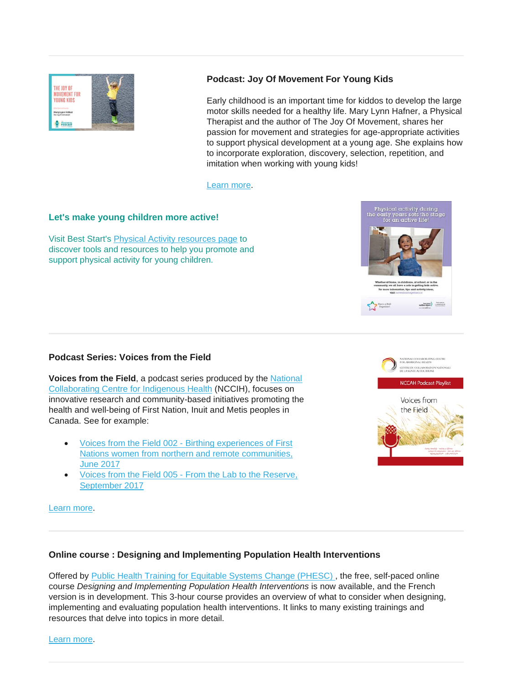

## **Podcast: Joy Of Movement For Young Kids**

Early childhood is an important time for kiddos to develop the large motor skills needed for a healthy life. Mary Lynn Hafner, a Physical Therapist and the author of The Joy Of Movement, shares her passion for movement and strategies for age-appropriate activities to support physical development at a young age. She explains how to incorporate exploration, discovery, selection, repetition, and imitation when working with young kids!

[Learn more.](https://blog.himama.com/preschool-podcast-marylynn-hafner/?utm_source=newsletter&utm_medium=email&utm_campaign=newsletter_08132019)

### **Let's make young children more active!**

Visit Best Start's [Physical Activity resources page](https://resources.beststart.org/product-category/resources/physical-activity/) to discover tools and resources to help you promote and support physical activity for young children.



### **Podcast Series: Voices from the Field**

**Voices from the Field**, a podcast series produced by the [National](https://www.nccih.ca/)  [Collaborating Centre for Indigenous Health](https://www.nccih.ca/) (NCCIH), focuses on innovative research and community-based initiatives promoting the health and well-being of First Nation, Inuit and Metis peoples in Canada. See for example:

- Voices from the Field 002 [Birthing experiences of First](https://www.nccih.ca/495/Podcast__Voices_from_the_Field_002_-_Birthing_experiences_of_First_Nations_women_from_northern_and_remote_communities.nccah?id=261)  [Nations women from northern and remote communities,](https://www.nccih.ca/495/Podcast__Voices_from_the_Field_002_-_Birthing_experiences_of_First_Nations_women_from_northern_and_remote_communities.nccah?id=261)  [June 2017](https://www.nccih.ca/495/Podcast__Voices_from_the_Field_002_-_Birthing_experiences_of_First_Nations_women_from_northern_and_remote_communities.nccah?id=261)
- Voices from the Field 005 [From the Lab to the Reserve,](https://www.nccih.ca/495/Podcast__Voices_from_the_Field_005_-_From_the_Lab_to_the_Reserve.nccah?id=264)  [September 2017](https://www.nccih.ca/495/Podcast__Voices_from_the_Field_005_-_From_the_Lab_to_the_Reserve.nccah?id=264)



[Learn more.](https://nccph.ca/news/entry/voices-from-the-Les-voix-du-terrain)

### **Online course : Designing and Implementing Population Health Interventions**

Offered by [Public Health Training for Equitable Systems Change \(PHESC\)](http://nccdh.ca/our-work/public-health-training-for-equitable-systems-change-phesc/) , the free, self-paced online course *Designing and Implementing Population Health Interventions* is now available, and the French version is in development. This 3-hour course provides an overview of what to consider when designing, implementing and evaluating population health interventions. It links to many existing trainings and resources that delve into topics in more detail.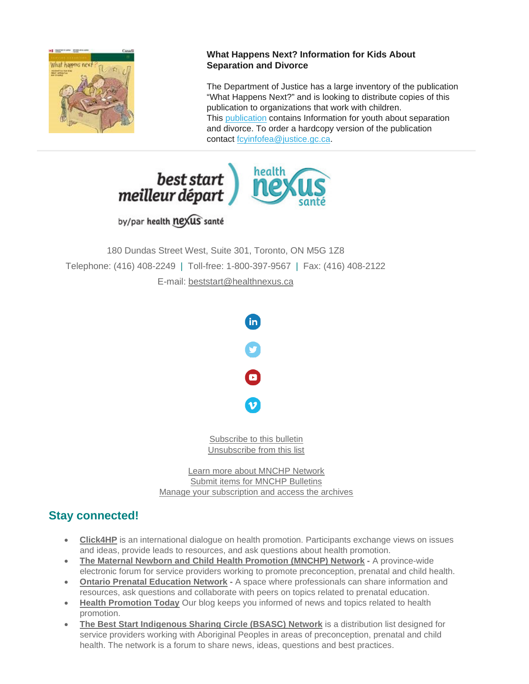

## **What Happens Next? Information for Kids About Separation and Divorce**

The Department of Justice has a large inventory of the publication "What Happens Next?" and is looking to distribute copies of this publication to organizations that work with children. This [publication](https://cwlc.us18.list-manage.com/track/click?u=88a1ea6ac41b2dce85f5ffe1b&id=db17e5d2b3&e=caf80ffe6b) contains Information for youth about separation and divorce. To order a hardcopy version of the publication contact [fcyinfofea@justice.gc.ca.](mailto:fcyinfofea@justice.gc.ca)



by/par health nexus santé

180 Dundas Street West, Suite 301, Toronto, ON M5G 1Z8 Telephone: (416) 408-2249 | Toll-free: 1-800-397-9567 | Fax: (416) 408-2122 E-mail: [beststart@healthnexus.ca](mailto:beststart@healthnexus.ca?subject=Contact%20Us)



[Subscribe to this bulletin](mailto:mnchp@healthnexus.ca?subject=Unsubscribe%20to%20MNCHP%20bulletin%20and%20network) [Unsubscribe from this list](mailto:mnchp@healthnexus.ca?subject=Unsubscribe%20to%20MNCHP%20bulletin%20and%20network)

[Learn more about MNCHP Network](http://lists.beststart.org/listinfo.cgi/mnchp-beststart.org) [Submit items for MNCHP Bulletins](mailto:mnchp@healthnexus.ca) [Manage your subscription and access the archives](http://lists.beststart.org/listinfo.cgi/mnchp-beststart.org)

# **Stay connected!**

- **[Click4HP](https://listserv.yorku.ca/archives/click4hp.html)** is an international dialogue on health promotion. Participants exchange views on issues and ideas, provide leads to resources, and ask questions about health promotion.
- **[The Maternal Newborn and Child Health Promotion \(MNCHP\) Network](http://lists.beststart.org/listinfo.cgi/mnchp-beststart.org) -** A province-wide electronic forum for service providers working to promote preconception, prenatal and child health.
- **[Ontario Prenatal Education Network](http://fluidsurveys.com/surveys/ohpe/subscriptionsopen2015-2016/) -** A space where professionals can share information and resources, ask questions and collaborate with peers on topics related to prenatal education.
- **[Health Promotion Today](http://en.healthnexus.ca/)** Our blog keeps you informed of news and topics related to health promotion.
- **[The Best Start Indigenous Sharing Circle \(BSASC\) Network](http://lists.beststart.org/listinfo.cgi/bsasc-beststart.org)** is a distribution list designed for service providers working with Aboriginal Peoples in areas of preconception, prenatal and child health. The network is a forum to share news, ideas, questions and best practices.